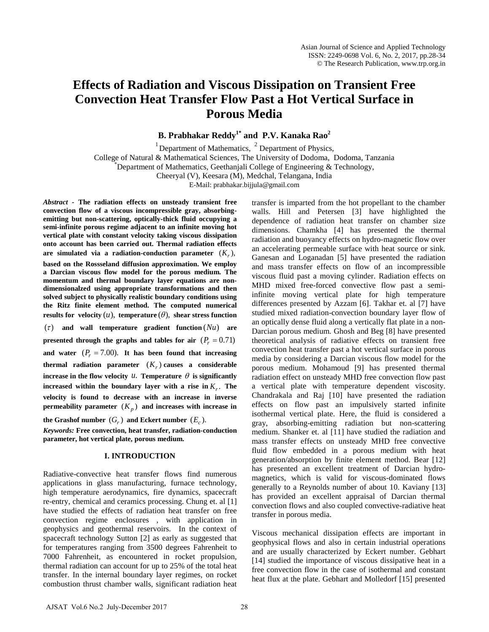# **Effects of Radiation and Viscous Dissipation on Transient Free Convection Heat Transfer Flow Past a Hot Vertical Surface in Porous Media**

**B. Prabhakar Reddy1\* and P.V. Kanaka Rao2** 

<sup>1</sup> Department of Mathematics,  $2$  Department of Physics, College of Natural & Mathematical Sciences, The University of Dodoma, Dodoma, Tanzania \* Department of Mathematics, Geethanjali College of Engineering & Technology, Cheeryal (V), Keesara (M), Medchal, Telangana, India

E-Mail: prabhakar.bijjula@gmail.com

*Abstract -* **The radiation effects on unsteady transient free convection flow of a viscous incompressible gray, absorbingemitting but non-scattering, optically-thick fluid occupying a semi-infinite porous regime adjacent to an infinite moving hot vertical plate with constant velocity taking viscous dissipation onto account has been carried out. Thermal radiation effects**  are simulated via a radiation-conduction parameter  $(K_r)$ , **based on the Rossseland diffusion approximation. We employ a Darcian viscous flow model for the porous medium. The momentum and thermal boundary layer equations are nondimensionalzed using appropriate transformations and then solved subject to physically realistic boundary conditions using the Ritz finite element method. The computed numerical results** for velocity  $(u)$ , **temperature**  $(\theta)$ , **shear stress function**  $(7)$  and wall temperature gradient function  $( Nu)$  are **presented through the graphs and tables for air**  $(P_r = 0.71)$ and water  $(P_r = 7.00)$ . It has been found that increasing **thermal radiation parameter**  $(K_r)$  causes a considerable **increase in the flow velocity** *u***. Temperature**  $\theta$  **is significantly increased within the boundary layer with a rise in**  $K_r$ **. The velocity is found to decrease with an increase in inverse permeability parameter**  $(K_p)$  and increases with increase in

the Grashof number  $(G_r)$  and Eckert number  $(E_c)$ .

*Keywords:* **Free convection, heat transfer, radiation-conduction parameter, hot vertical plate, porous medium.**

# **I. INTRODUCTION**

Radiative-convective heat transfer flows find numerous applications in glass manufacturing, furnace technology, high temperature aerodynamics, fire dynamics, spacecraft re-entry, chemical and ceramics processing. Chung et. al [1] have studied the effects of radiation heat transfer on free convection regime enclosures , with application in geophysics and geothermal reservoirs. In the context of spacecraft technology Sutton [2] as early as suggested that for temperatures ranging from 3500 degrees Fahrenheit to 7000 Fahrenheit, as encountered in rocket propulsion, thermal radiation can account for up to 25% of the total heat transfer. In the internal boundary layer regimes, on rocket combustion thrust chamber walls, significant radiation heat transfer is imparted from the hot propellant to the chamber walls. Hill and Petersen [3] have highlighted the dependence of radiation heat transfer on chamber size dimensions. Chamkha [4] has presented the thermal radiation and buoyancy effects on hydro-magnetic flow over an accelerating permeable surface with heat source or sink. Ganesan and Loganadan [5] have presented the radiation and mass transfer effects on flow of an incompressible viscous fluid past a moving cylinder. Radiation effects on MHD mixed free-forced convective flow past a semiinfinite moving vertical plate for high temperature differences presented by Azzam [6]. Takhar et. al [7] have studied mixed radiation-convection boundary layer flow of an optically dense fluid along a vertically flat plate in a non-Darcian porous medium. Ghosh and Beg [8] have presented theoretical analysis of radiative effects on transient free convection heat transfer past a hot vertical surface in porous media by considering a Darcian viscous flow model for the porous medium. Mohamoud [9] has presented thermal radiation effect on unsteady MHD free convection flow past a vertical plate with temperature dependent viscosity. Chandrakala and Raj [10] have presented the radiation effects on flow past an impulsively started infinite isothermal vertical plate. Here, the fluid is considered a gray, absorbing-emitting radiation but non-scattering medium. Shanker et. al [11] have studied the radiation and mass transfer effects on unsteady MHD free convective fluid flow embedded in a porous medium with heat generation/absorption by finite element method. Bear [12] has presented an excellent treatment of Darcian hydromagnetics, which is valid for viscous-dominated flows generally to a Reynolds number of about 10. Kaviany [13] has provided an excellent appraisal of Darcian thermal convection flows and also coupled convective-radiative heat transfer in porous media.

Viscous mechanical dissipation effects are important in geophysical flows and also in certain industrial operations and are usually characterized by Eckert number. Gebhart [14] studied the importance of viscous dissipative heat in a free convection flow in the case of isothermal and constant heat flux at the plate. Gebhart and Molledorf [15] presented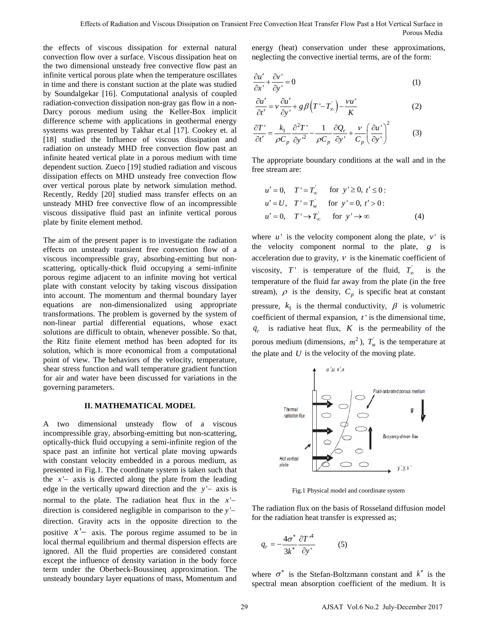the effects of viscous dissipation for external natural convection flow over a surface. Viscous dissipation heat on the two dimensional unsteady free convective flow past an infinite vertical porous plate when the temperature oscillates in time and there is constant suction at the plate was studied by Soundalgekar [16]. Computational analysis of coupled radiation-convection dissipation non-gray gas flow in a non-Darcy porous medium using the Keller-Box implicit difference scheme with applications in geothermal energy systems was presented by Takhar et.al [17]. Cookey et. al [18] studied the Influence of viscous dissipation and radiation on unsteady MHD free convection flow past an infinite heated vertical plate in a porous medium with time dependent suction. Zueco [19] studied radiation and viscous dissipation effects on MHD unsteady free convection flow over vertical porous plate by network simulation method. Recently, Reddy [20] studied mass transfer effects on an unsteady MHD free convective flow of an incompressible viscous dissipative fluid past an infinite vertical porous plate by finite element method.

The aim of the present paper is to investigate the radiation effects on unsteady transient free convection flow of a viscous incompressible gray, absorbing-emitting but nonscattering, optically-thick fluid occupying a semi-infinite porous regime adjacent to an infinite moving hot vertical plate with constant velocity by taking viscous dissipation into account. The momentum and thermal boundary layer equations are non-dimensionalized using appropriate transformations. The problem is governed by the system of non-linear partial differential equations, whose exact solutions are difficult to obtain, whenever possible. So that, the Ritz finite element method has been adopted for its solution, which is more economical from a computational point of view. The behaviors of the velocity, temperature, shear stress function and wall temperature gradient function for air and water have been discussed for variations in the governing parameters.

## **II. MATHEMATICAL MODEL**

A two dimensional unsteady flow of a viscous incompressible gray, absorbing-emitting but non-scattering, optically-thick fluid occupying a semi-infinite region of the space past an infinite hot vertical plate moving upwards with constant velocity embedded in a porous medium, as presented in Fig.1. The coordinate system is taken such that the *x* '− axis is directed along the plate from the leading edge in the vertically upward direction and the *y* '− axis is normal to the plate. The radiation heat flux in the *x* '− direction is considered negligible in comparison to the *y* '− direction. Gravity acts in the opposite direction to the positive *x* '− axis. The porous regime assumed to be in local thermal equilibrium and thermal dispersion effects are ignored. All the fluid properties are considered constant except the influence of density variation in the body force term under the Oberbeck-Boussineq approximation. The unsteady boundary layer equations of mass, Momentum and energy (heat) conservation under these approximations, neglecting the convective inertial terms, are of the form:

$$
\frac{\partial u'}{\partial x'} + \frac{\partial v'}{\partial y'} = 0
$$
 (1)

$$
\frac{\partial u'}{\partial t'} = v \frac{\partial u'}{\partial y'} + g \beta \Big( T' - T_{\infty} \Big) - \frac{vu'}{K} \tag{2}
$$

$$
\frac{\partial T'}{\partial t'} = \frac{k_1}{\rho C_p} \frac{\partial^2 T'}{\partial y'^2} - \frac{1}{\rho C_p} \frac{\partial Q_r}{\partial y'} + \frac{v}{C_p} \left(\frac{\partial u'}{\partial y'}\right)^2 \tag{3}
$$

The appropriate boundary conditions at the wall and in the free stream are:

$$
u' = 0, \quad T' = T_{\infty}' \quad \text{for } y' \ge 0, t' \le 0:
$$
  
\n
$$
u' = U, \quad T' = T_{w}^{'} \quad \text{for } y' = 0, t' > 0:
$$
  
\n
$$
u' = 0, \quad T' \rightarrow T_{\infty}' \quad \text{for } y' \rightarrow \infty
$$
  
\n(4)

where  $u'$  is the velocity component along the plate,  $v'$  is the velocity component normal to the plate, *g* is acceleration due to gravity,  $V$  is the kinematic coefficient of viscosity,  $T'$  is temperature of the fluid,  $T_{\infty}$  is the temperature of the fluid far away from the plate (in the free stream),  $\rho$  is the density,  $C_p$  is specific heat at constant pressure,  $k_1$  is the thermal conductivity,  $\beta$  is volumetric coefficient of thermal expansion, *t* ' is the dimensional time,  $q_r$  is radiative heat flux,  $K$  is the permeability of the porous medium (dimensions,  $m^2$ ),  $T_w$  is the temperature at the plate and *U* is the velocity of the moving plate.



Fig.1 Physical model and coordinate system

The radiation flux on the basis of Rosseland diffusion model for the radiation heat transfer is expressed as;

$$
q_r = -\frac{4\sigma^*}{3k^*} \frac{\partial T^{\prime 4}}{\partial y^{\prime}}
$$
 (5)

where  $\sigma^*$  is the Stefan-Boltzmann constant and  $k^*$  is the spectral mean absorption coefficient of the medium. It is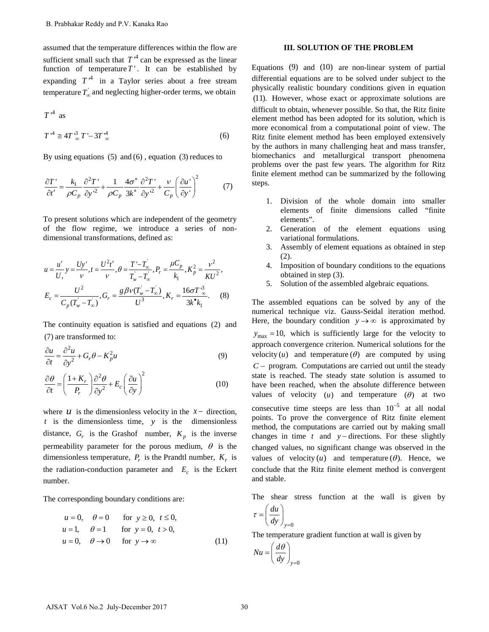assumed that the temperature differences within the flow are sufficient small such that  $T^4$  can be expressed as the linear function of temperature  $T'$ . It can be established by expanding  $T^4$  in a Taylor series about a free stream temperature  $T_{\infty}$  and neglecting higher-order terms, we obtain

$$
T^4 \text{ as}
$$
  
\n
$$
T^4 \cong 4T^3 \propto T' - 3T^4 \propto
$$
\n(6)

By using equations  $(5)$  and  $(6)$ , equation  $(3)$  reduces to

$$
\frac{\partial T'}{\partial t'} = \frac{k_1}{\rho C_p} \frac{\partial^2 T'}{\partial y'^2} + \frac{1}{\rho C_p} \frac{4\sigma^*}{3k^*} \frac{\partial^2 T'}{\partial y'^2} + \frac{v}{C_p} \left(\frac{\partial u'}{\partial y'}\right)^2 \tag{7}
$$

To present solutions which are independent of the geometry of the flow regime, we introduce a series of nondimensional transformations, defined as:

$$
u = \frac{u'}{U,} y = \frac{Uy'}{v}, t = \frac{U^2t'}{v}, \theta = \frac{T'-T_{\infty}'}{T_{w}^{'}-T_{\infty}^{'}}, P_r = \frac{\mu C_p}{k_1}, K_p^2 = \frac{v^2}{KU^2},
$$
  

$$
E_c = \frac{U^2}{C_p(T_{w}^{'}-T_{\infty}^{'})}, G_r = \frac{g\beta v(T_{w}^{'}-T_{\infty}^{'})}{U^3}, K_r = \frac{16\sigma T^3}{3k^{\bullet}k_1}.
$$
 (8)

The continuity equation is satisfied and equations (2) and (7) are transformed to:

$$
\frac{\partial u}{\partial t} = \frac{\partial^2 u}{\partial y^2} + G_r \theta - K_p^2 u \tag{9}
$$

$$
\frac{\partial \theta}{\partial t} = \left(\frac{1 + K_r}{P_r}\right) \frac{\partial^2 \theta}{\partial y^2} + E_c \left(\frac{\partial u}{\partial y}\right)^2 \tag{10}
$$

where  $u$  is the dimensionless velocity in the  $x -$  direction, *t* is the dimensionless time, *y* is the dimensionless distance,  $G_r$  is the Grashof number,  $K_p$  is the inverse permeability parameter for the porous medium,  $\theta$  is the dimensionless temperature,  $P_r$  is the Prandtl number,  $K_r$  is the radiation-conduction parameter and  $E_c$  is the Eckert number.

The corresponding boundary conditions are:

$$
u = 0, \quad \theta = 0 \quad \text{for } y \ge 0, \ t \le 0,
$$
  
\n
$$
u = 1, \quad \theta = 1 \quad \text{for } y = 0, \ t > 0,
$$
  
\n
$$
u = 0, \quad \theta \to 0 \quad \text{for } y \to \infty
$$
 (11)

## **III. SOLUTION OF THE PROBLEM**

Equations (9) and (10) are non-linear system of partial differential equations are to be solved under subject to the physically realistic boundary conditions given in equation (11). However, whose exact or approximate solutions are difficult to obtain, whenever possible. So that, the Ritz finite element method has been adopted for its solution, which is more economical from a computational point of view. The Ritz finite element method has been employed extensively by the authors in many challenging heat and mass transfer, biomechanics and metallurgical transport phenomena problems over the past few years. The algorithm for Ritz finite element method can be summarized by the following steps.

- 1. Division of the whole domain into smaller elements of finite dimensions called "finite elements".
- 2. Generation of the element equations using variational formulations.
- 3. Assembly of element equations as obtained in step (2).
- 4. Imposition of boundary conditions to the equations obtained in step (3).
- 5. Solution of the assembled algebraic equations.

The assembled equations can be solved by any of the numerical technique viz. Gauss-Seidal iteration method. Here, the boundary condition  $y \rightarrow \infty$  is approximated by  $y_{\text{max}} = 10$ , which is sufficiently large for the velocity to approach convergence criterion. Numerical solutions for the velocity  $(u)$  and temperature  $(\theta)$  are computed by using *C* − program. Computations are carried out until the steady state is reached. The steady state solution is assumed to have been reached, when the absolute difference between values of velocity  $(u)$  and temperature  $(\theta)$  at two consecutive time steeps are less than  $10^{-5}$  at all nodal points. To prove the convergence of Ritz finite element method, the computations are carried out by making small changes in time *t* and *y* − directions. For these slightly changed values, no significant change was observed in the values of velocity  $(u)$  and temperature  $(\theta)$ . Hence, we conclude that the Ritz finite element method is convergent and stable.

The shear stress function at the wall is given by

$$
\tau = \left(\frac{du}{dy}\right)_{y=0}
$$

The temperature gradient function at wall is given by

$$
Nu = \left(\frac{d\theta}{dy}\right)_{y=0}
$$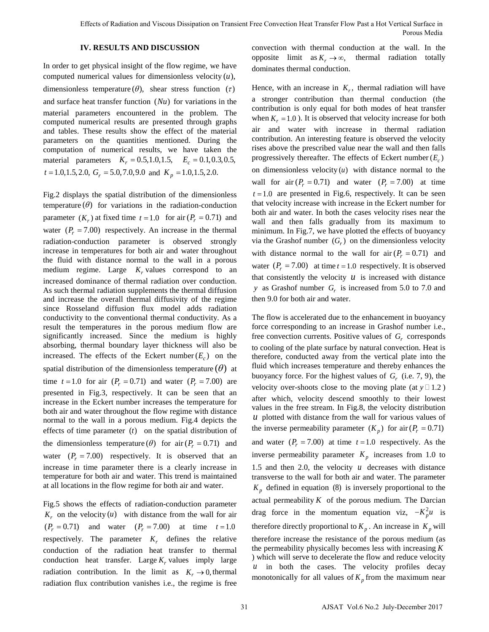# **IV. RESULTS AND DISCUSSION**

In order to get physical insight of the flow regime, we have computed numerical values for dimensionless velocity  $(u)$ , dimensionless temperature  $(\theta)$ , shear stress function  $(\tau)$ and surface heat transfer function  $(Nu)$  for variations in the material parameters encountered in the problem. The computed numerical results are presented through graphs and tables. These results show the effect of the material parameters on the quantities mentioned. During the computation of numerical results, we have taken the material parameters  $K_r = 0.5,1.0,1.5, E_c = 0.1,0.3,0.5,$  $t = 1.0, 1.5, 2.0, G_r = 5.0, 7.0, 9.0$  and  $K_p = 1.0, 1.5, 2.0$ .

Fig.2 displays the spatial distribution of the dimensionless temperature  $(\theta)$  for variations in the radiation-conduction parameter  $(K_r)$  at fixed time  $t = 1.0$  for air  $(P_r = 0.71)$  and water  $(P_r = 7.00)$  respectively. An increase in the thermal radiation-conduction parameter is observed strongly increase in temperatures for both air and water throughout the fluid with distance normal to the wall in a porous medium regime. Large  $K_r$  values correspond to an increased dominance of thermal radiation over conduction. As such thermal radiation supplements the thermal diffusion and increase the overall thermal diffusivity of the regime since Rosseland diffusion flux model adds radiation conductivity to the conventional thermal conductivity. As a result the temperatures in the porous medium flow are significantly increased. Since the medium is highly absorbing, thermal boundary layer thickness will also be increased. The effects of the Eckert number  $(E_c)$  on the spatial distribution of the dimensionless temperature  $(\theta)$  at time  $t = 1.0$  for air  $(P_r = 0.71)$  and water  $(P_r = 7.00)$  are presented in Fig.3, respectively. It can be seen that an increase in the Eckert number increases the temperature for both air and water throughout the flow regime with distance normal to the wall in a porous medium. Fig.4 depicts the effects of time parameter  $(t)$  on the spatial distribution of the dimensionless temperature ( $\theta$ ) for air ( $P_r = 0.71$ ) and water  $(P_r = 7.00)$  respectively. It is observed that an increase in time parameter there is a clearly increase in temperature for both air and water. This trend is maintained at all locations in the flow regime for both air and water.

Fig.5 shows the effects of radiation-conduction parameter  $K_r$  on the velocity  $(u)$  with distance from the wall for air  $(P_r = 0.71)$  and water  $(P_r = 7.00)$  at time  $t = 1.0$ respectively. The parameter  $K_r$  defines the relative conduction of the radiation heat transfer to thermal conduction heat transfer. Large  $K_r$  values imply large radiation contribution. In the limit as  $K_r \to 0$ , thermal radiation flux contribution vanishes i.e., the regime is free convection with thermal conduction at the wall. In the opposite limit as  $K_r \to \infty$ , thermal radiation totally dominates thermal conduction.

Hence, with an increase in  $K_r$ , thermal radiation will have a stronger contribution than thermal conduction (the contribution is only equal for both modes of heat transfer when  $K_r = 1.0$ ). It is observed that velocity increase for both air and water with increase in thermal radiation contribution. An interesting feature is observed the velocity rises above the prescribed value near the wall and then falls progressively thereafter. The effects of Eckert number  $(E_c)$ on dimensionless velocity  $(u)$  with distance normal to the wall for  $air (P_r = 0.71)$  and water  $(P_r = 7.00)$  at time  $t = 1.0$  are presented in Fig.6, respectively. It can be seen that velocity increase with increase in the Eckert number for both air and water. In both the cases velocity rises near the wall and then falls gradually from its maximum to minimum. In Fig.7, we have plotted the effects of buoyancy via the Grashof number  $(G_r)$  on the dimensionless velocity with distance normal to the wall for air  $(P_r = 0.71)$  and water  $(P_r = 7.00)$  at time  $t = 1.0$  respectively. It is observed that consistently the velocity  $u$  is increased with distance *y* as Grashof number *Gr* is increased from 5.0 to 7.0 and then 9.0 for both air and water.

The flow is accelerated due to the enhancement in buoyancy force corresponding to an increase in Grashof number i.e., free convection currents. Positive values of  $G_r$  corresponds to cooling of the plate surface by natural convection. Heat is therefore, conducted away from the vertical plate into the fluid which increases temperature and thereby enhances the buoyancy force. For the highest values of  $G_r$  (i.e. 7, 9), the velocity over-shoots close to the moving plate (at  $y \Box 1.2$ ) after which, velocity descend smoothly to their lowest values in the free stream. In Fig.8, the velocity distribution  *plotted with distance from the wall for various values of* the inverse permeability parameter  $(K_p)$  for air $(P_r = 0.71)$ and water  $(P_r = 7.00)$  at time  $t = 1.0$  respectively. As the inverse permeability parameter  $K_p$  increases from 1.0 to 1.5 and then 2.0, the velocity *u* decreases with distance transverse to the wall for both air and water. The parameter  $K_p$  defined in equation (8) is inversely proportional to the actual permeability  $K$  of the porous medium. The Darcian drag force in the momentum equation viz,  $-K_p^2 u$  is therefore directly proportional to  $K_p$ . An increase in  $K_p$  will therefore increase the resistance of the porous medium (as the permeability physically becomes less with increasing *K* ) which will serve to decelerate the flow and reduce velocity *u* in both the cases. The velocity profiles decay monotonically for all values of  $K_p$  from the maximum near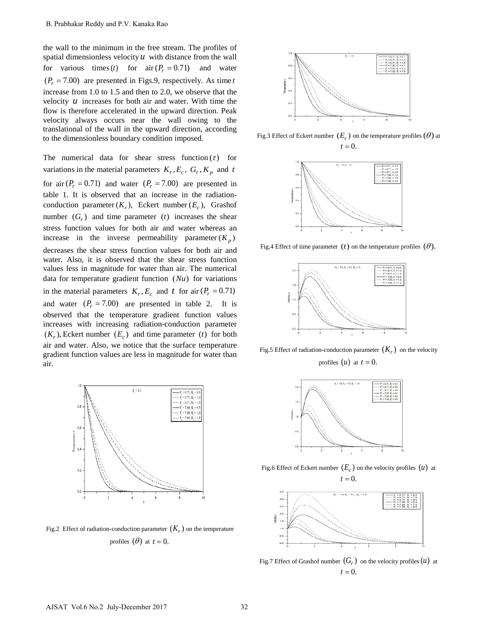the wall to the minimum in the free stream. The profiles of spatial dimensionless velocity  $u$  with distance from the wall for various times(*t*) for air  $(P_r = 0.71)$  and water  $(P_r = 7.00)$  are presented in Figs.9, respectively. As time *t* increase from 1.0 to 1.5 and then to 2.0, we observe that the velocity *u* increases for both air and water. With time the flow is therefore accelerated in the upward direction. Peak velocity always occurs near the wall owing to the translational of the wall in the upward direction, according to the dimensionless boundary condition imposed.

The numerical data for shear stress function  $(\tau)$  for variations in the material parameters  $K_r$ ,  $E_c$ ,  $G_r$ ,  $K_p$  and *t* for air  $(P_r = 0.71)$  and water  $(P_r = 7.00)$  are presented in table 1. It is observed that an increase in the radiationconduction parameter  $(K_r)$ , Eckert number  $(E_c)$ , Grashof number  $(G_r)$  and time parameter (*t*) increases the shear stress function values for both air and water whereas an increase in the inverse permeability parameter  $(K_n)$ decreases the shear stress function values for both air and water. Also, it is observed that the shear stress function values less in magnitude for water than air. The numerical data for temperature gradient function  $(Nu)$  for variations in the material parameters  $K_r$ ,  $E_c$  and t for air ( $P_r = 0.71$ ) and water  $(P_r = 7.00)$  are presented in table 2. It is observed that the temperature gradient function values increases with increasing radiation-conduction parameter  $(K_r)$ , Eckert number  $(E_c)$  and time parameter (*t*) for both air and water. Also, we notice that the surface temperature gradient function values are less in magnitude for water than air.



Fig.2 Effect of radiation-conduction parameter  $(K_r)$  on the temperature profiles  $(\theta)$  at  $t = 0$ .



Fig.3 Effect of Eckert number  $(E_c)$  on the temperature profiles  $(\theta)$  at  $t = 0$ .



Fig.4 Effect of time parameter  $(t)$  on the temperature profiles  $(\theta)$ .



Fig.5 Effect of radiation-conduction parameter  $(K_r)$  on the velocity profiles  $(u)$  at  $t = 0$ .



Fig.6 Effect of Eckert number  $(E_c)$  on the velocity profiles  $(u)$  at  $t = 0$ .



Fig.7 Effect of Grashof number  $(G_r)$  on the velocity profiles  $(u)$  at  $t = 0$ .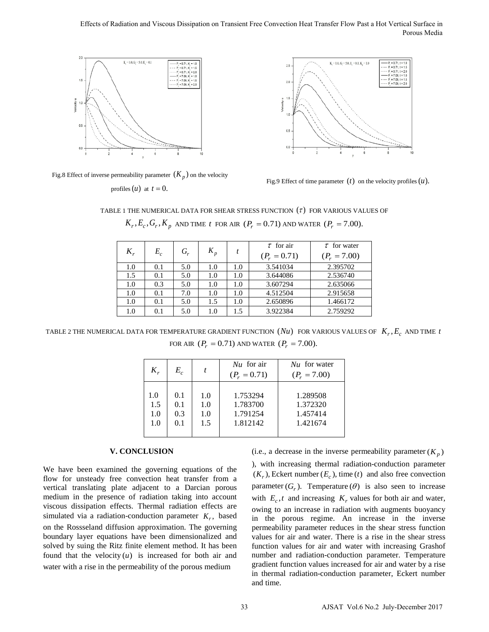## Effects of Radiation and Viscous Dissipation on Transient Free Convection Heat Transfer Flow Past a Hot Vertical Surface in Porous Media





Fig.8 Effect of inverse permeability parameter  $(K_p)$  on the velocity

profiles  $(u)$  at  $t = 0$ .

Fig.9 Effect of time parameter  $(t)$  on the velocity profiles  $(u)$ .

TABLE 1 THE NUMERICAL DATA FOR SHEAR STRESS FUNCTION  $(\tau)$  FOR VARIOUS VALUES OF  $K_r, E_c, G_r, K_p$  and time *t* for air  $(P_r = 0.71)$  and water  $(P_r = 7.00)$ .

| $K_r$ | $E_c$ | $G_r$ | $K_p$ |     | $\tau$ for air<br>$(P_r = 0.71)$ | $\tau$ for water<br>$(P_r = 7.00)$ |
|-------|-------|-------|-------|-----|----------------------------------|------------------------------------|
| 1.0   | 0.1   | 5.0   | 1.0   | 1.0 | 3.541034                         | 2.395702                           |
| 1.5   | 0.1   | 5.0   | 1.0   | 1.0 | 3.644086                         | 2.536740                           |
| 1.0   | 0.3   | 5.0   | 1.0   | 1.0 | 3.607294                         | 2.635066                           |
| 1.0   | 0.1   | 7.0   | 1.0   | 1.0 | 4.512504                         | 2.915658                           |
| 1.0   | 0.1   | 5.0   | 1.5   | 1.0 | 2.650896                         | 1.466172                           |
| 1.0   | 0.1   | 5.0   | 1.0   | 1.5 | 3.922384                         | 2.759292                           |

TABLE 2 THE NUMERICAL DATA FOR TEMPERATURE GRADIENT FUNCTION  $(Nu)$  FOR VARIOUS VALUES OF  $K_r, E_c$  AND TIME *t* FOR AIR  $(P_r = 0.71)$  AND WATER  $(P_r = 7.00)$ .

| $K_r$ | $E^{\vphantom{\dagger}}_c$ |     | $Nu$ for air<br>$(P_r = 0.71)$ | $Nu$ for water<br>$(P_r = 7.00)$ |
|-------|----------------------------|-----|--------------------------------|----------------------------------|
| 1.0   | 0.1                        | 1.0 | 1.753294                       | 1.289508                         |
| 1.5   | 0.1                        | 1.0 | 1.783700                       | 1.372320                         |
| 1.0   | 0.3                        | 1.0 | 1.791254                       | 1.457414                         |
| 1.0   | 0.1                        | 1.5 | 1.812142                       | 1.421674                         |

### **V. CONCLUSION**

We have been examined the governing equations of the flow for unsteady free convection heat transfer from a vertical translating plate adjacent to a Darcian porous medium in the presence of radiation taking into account viscous dissipation effects. Thermal radiation effects are simulated via a radiation-conduction parameter  $K_r$ , based on the Rossseland diffusion approximation. The governing boundary layer equations have been dimensionalized and solved by suing the Ritz finite element method. It has been found that the velocity  $(u)$  is increased for both air and water with a rise in the permeability of the porous medium

(i.e., a decrease in the inverse permeability parameter  $(K_p)$ 

), with increasing thermal radiation-conduction parameter  $(K_r)$ , Eckert number  $(E_c)$ , time (*t*) and also free convection parameter  $(G_r)$ . Temperature  $(\theta)$  is also seen to increase with  $E_c$ , *t* and increasing  $K_r$  values for both air and water, owing to an increase in radiation with augments buoyancy in the porous regime. An increase in the inverse permeability parameter reduces in the shear stress function values for air and water. There is a rise in the shear stress function values for air and water with increasing Grashof number and radiation-conduction parameter. Temperature gradient function values increased for air and water by a rise in thermal radiation-conduction parameter, Eckert number and time.